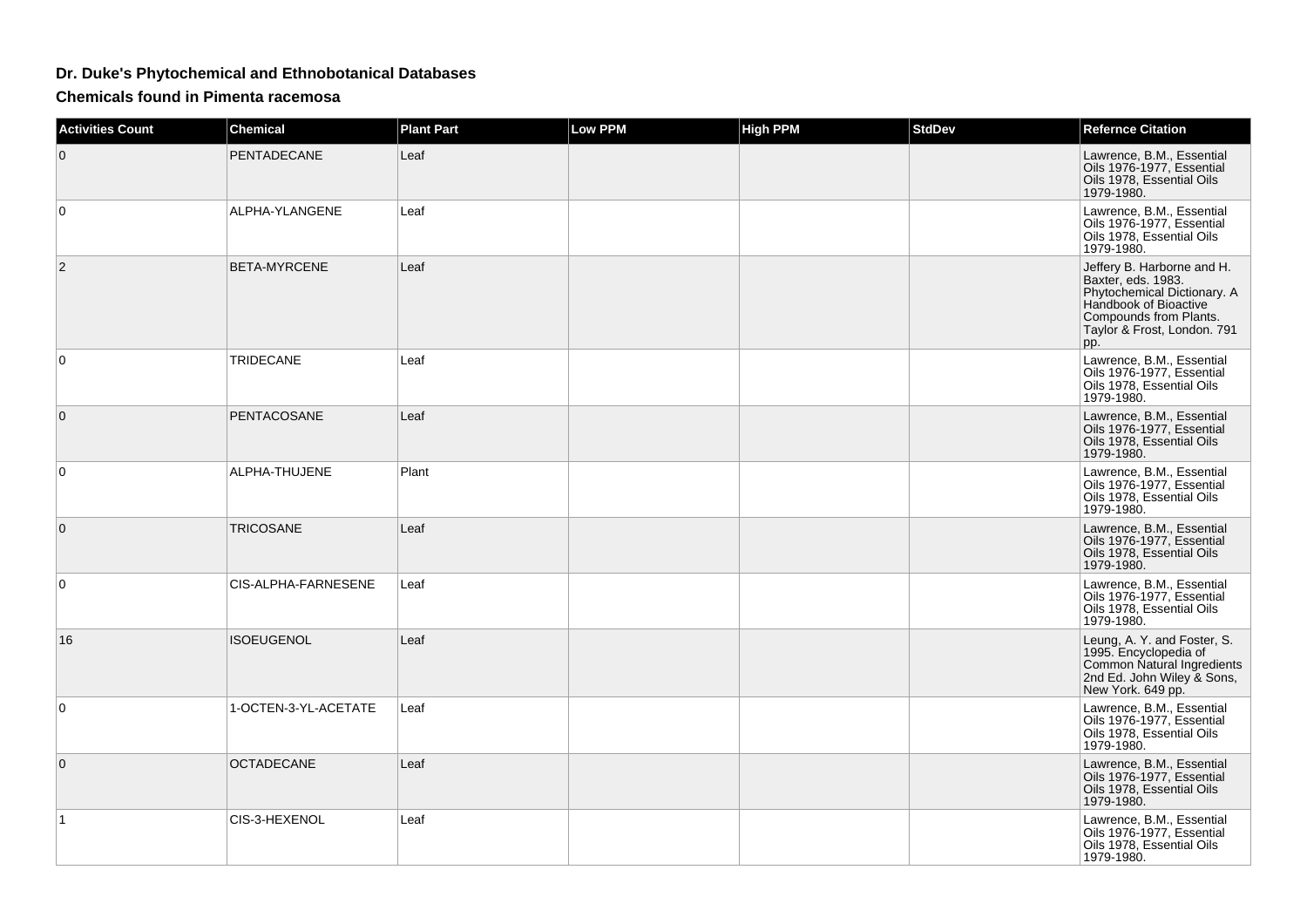## **Dr. Duke's Phytochemical and Ethnobotanical Databases**

**Chemicals found in Pimenta racemosa**

| <b>Activities Count</b> | <b>Chemical</b>      | <b>Plant Part</b> | <b>Low PPM</b> | <b>High PPM</b> | <b>StdDev</b> | <b>Refernce Citation</b>                                                                                                                                                 |
|-------------------------|----------------------|-------------------|----------------|-----------------|---------------|--------------------------------------------------------------------------------------------------------------------------------------------------------------------------|
| $\Omega$                | PENTADECANE          | Leaf              |                |                 |               | Lawrence, B.M., Essential<br>Oils 1976-1977, Essential<br>Oils 1978, Essential Oils<br>1979-1980.                                                                        |
| 0                       | ALPHA-YLANGENE       | Leaf              |                |                 |               | Lawrence, B.M., Essential<br>Oils 1976-1977, Essential<br>Oils 1978, Essential Oils<br>1979-1980.                                                                        |
| 2                       | <b>BETA-MYRCENE</b>  | Leaf              |                |                 |               | Jeffery B. Harborne and H.<br>Baxter, eds. 1983.<br>Phytochemical Dictionary. A<br>Handbook of Bioactive<br>Compounds from Plants.<br>Taylor & Frost, London. 791<br>pp. |
| 0                       | TRIDECANE            | Leaf              |                |                 |               | Lawrence, B.M., Essential<br>Oils 1976-1977, Essential<br>Oils 1978, Essential Oils<br>1979-1980.                                                                        |
| $\mathbf{0}$            | <b>PENTACOSANE</b>   | Leaf              |                |                 |               | Lawrence, B.M., Essential<br>Oils 1976-1977, Essential<br>Oils 1978, Essential Oils<br>1979-1980.                                                                        |
| $\Omega$                | ALPHA-THUJENE        | Plant             |                |                 |               | Lawrence, B.M., Essential<br>Oils 1976-1977, Essential<br>Oils 1978, Essential Oils<br>1979-1980.                                                                        |
| 0                       | TRICOSANE            | Leaf              |                |                 |               | Lawrence, B.M., Essential<br>Oils 1976-1977, Essential<br>Oils 1978, Essential Oils<br>1979-1980.                                                                        |
| 0                       | CIS-ALPHA-FARNESENE  | Leaf              |                |                 |               | Lawrence, B.M., Essential<br>Oils 1976-1977, Essential<br>Oils 1978, Essential Oils<br>1979-1980.                                                                        |
| 16                      | ISOEUGENOL           | Leaf              |                |                 |               | Leung, A. Y. and Foster, S.<br>1995. Encyclopedia of<br>Common Natural Ingredients<br>2nd Ed. John Wiley & Sons,<br>New York. 649 pp.                                    |
| 0                       | 1-OCTEN-3-YL-ACETATE | Leaf              |                |                 |               | Lawrence, B.M., Essential<br>Oils 1976-1977. Essential<br>Oils 1978, Essential Oils<br>1979-1980.                                                                        |
| $\Omega$                | <b>OCTADECANE</b>    | Leaf              |                |                 |               | Lawrence, B.M., Essential<br>Oils 1976-1977, Essential<br>Oils 1978, Essential Oils<br>1979-1980.                                                                        |
| 1.                      | CIS-3-HEXENOL        | Leaf              |                |                 |               | Lawrence, B.M., Essential<br>Oils 1976-1977, Essential<br>Oils 1978, Essential Oils<br>1979-1980.                                                                        |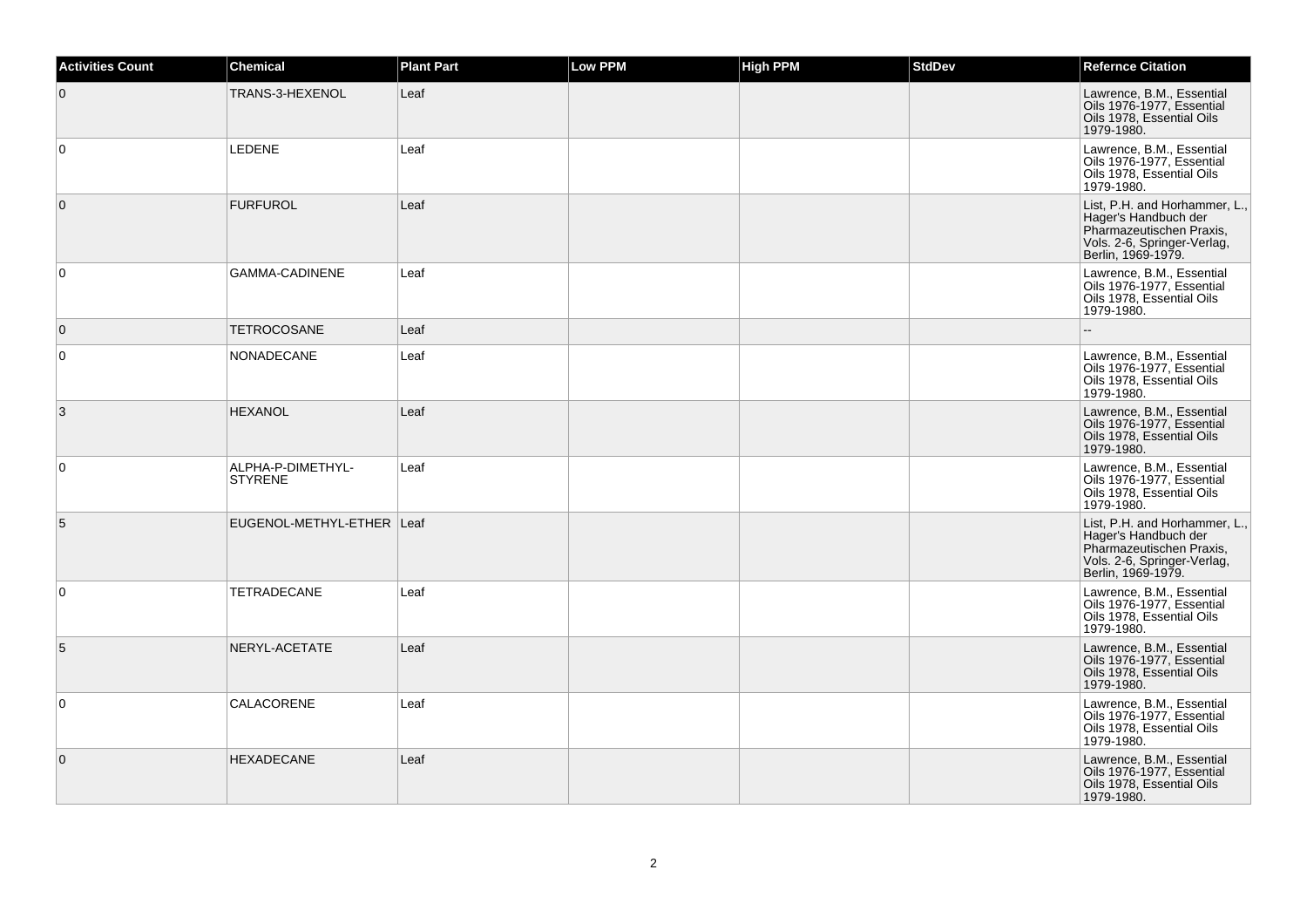| <b>Activities Count</b> | Chemical                            | <b>Plant Part</b> | Low PPM | <b>High PPM</b> | <b>StdDev</b> | <b>Refernce Citation</b>                                                                                                               |
|-------------------------|-------------------------------------|-------------------|---------|-----------------|---------------|----------------------------------------------------------------------------------------------------------------------------------------|
| $\overline{0}$          | TRANS-3-HEXENOL                     | Leaf              |         |                 |               | Lawrence, B.M., Essential<br>Oils 1976-1977, Essential<br>Oils 1978, Essential Oils<br>1979-1980.                                      |
| $\mathbf 0$             | <b>LEDENE</b>                       | Leaf              |         |                 |               | Lawrence, B.M., Essential<br>Oils 1976-1977, Essential<br>Oils 1978, Essential Oils<br>1979-1980.                                      |
| $\overline{0}$          | <b>FURFUROL</b>                     | Leaf              |         |                 |               | List, P.H. and Horhammer, L.,<br>Hager's Handbuch der<br>Pharmazeutischen Praxis,<br>Vols. 2-6, Springer-Verlag,<br>Berlin, 1969-1979. |
| $\mathbf 0$             | GAMMA-CADINENE                      | Leaf              |         |                 |               | Lawrence, B.M., Essential<br>Oils 1976-1977, Essential<br>Oils 1978, Essential Oils<br>1979-1980.                                      |
| $\mathbf 0$             | <b>TETROCOSANE</b>                  | Leaf              |         |                 |               |                                                                                                                                        |
| $\mathbf 0$             | NONADECANE                          | Leaf              |         |                 |               | Lawrence, B.M., Essential<br>Oils 1976-1977, Essential<br>Oils 1978, Essential Oils<br>1979-1980.                                      |
| 3                       | <b>HEXANOL</b>                      | Leaf              |         |                 |               | Lawrence, B.M., Essential<br>Oils 1976-1977, Essential<br>Oils 1978, Essential Oils<br>1979-1980.                                      |
| 0                       | ALPHA-P-DIMETHYL-<br><b>STYRENE</b> | Leaf              |         |                 |               | Lawrence, B.M., Essential<br>Oils 1976-1977, Essential<br>Oils 1978, Essential Oils<br>1979-1980.                                      |
| 5                       | EUGENOL-METHYL-ETHER Leaf           |                   |         |                 |               | List, P.H. and Horhammer, L.,<br>Hager's Handbuch der<br>Pharmazeutischen Praxis,<br>Vols. 2-6, Springer-Verlag,<br>Berlin, 1969-1979. |
| $\mathbf 0$             | <b>TETRADECANE</b>                  | Leaf              |         |                 |               | Lawrence, B.M., Essential<br>Oils 1976-1977, Essential<br>Oils 1978. Essential Oils<br>1979-1980.                                      |
| 5                       | NERYL-ACETATE                       | Leaf              |         |                 |               | Lawrence, B.M., Essential<br>Oils 1976-1977, Essential<br>Oils 1978, Essential Oils<br>1979-1980.                                      |
| 0                       | CALACORENE                          | Leaf              |         |                 |               | Lawrence, B.M., Essential<br>Oils 1976-1977, Essential<br>Oils 1978, Essential Oils<br>1979-1980.                                      |
| $\overline{0}$          | <b>HEXADECANE</b>                   | Leaf              |         |                 |               | Lawrence, B.M., Essential<br>Oils 1976-1977, Essential<br>Oils 1978, Essential Oils<br>1979-1980.                                      |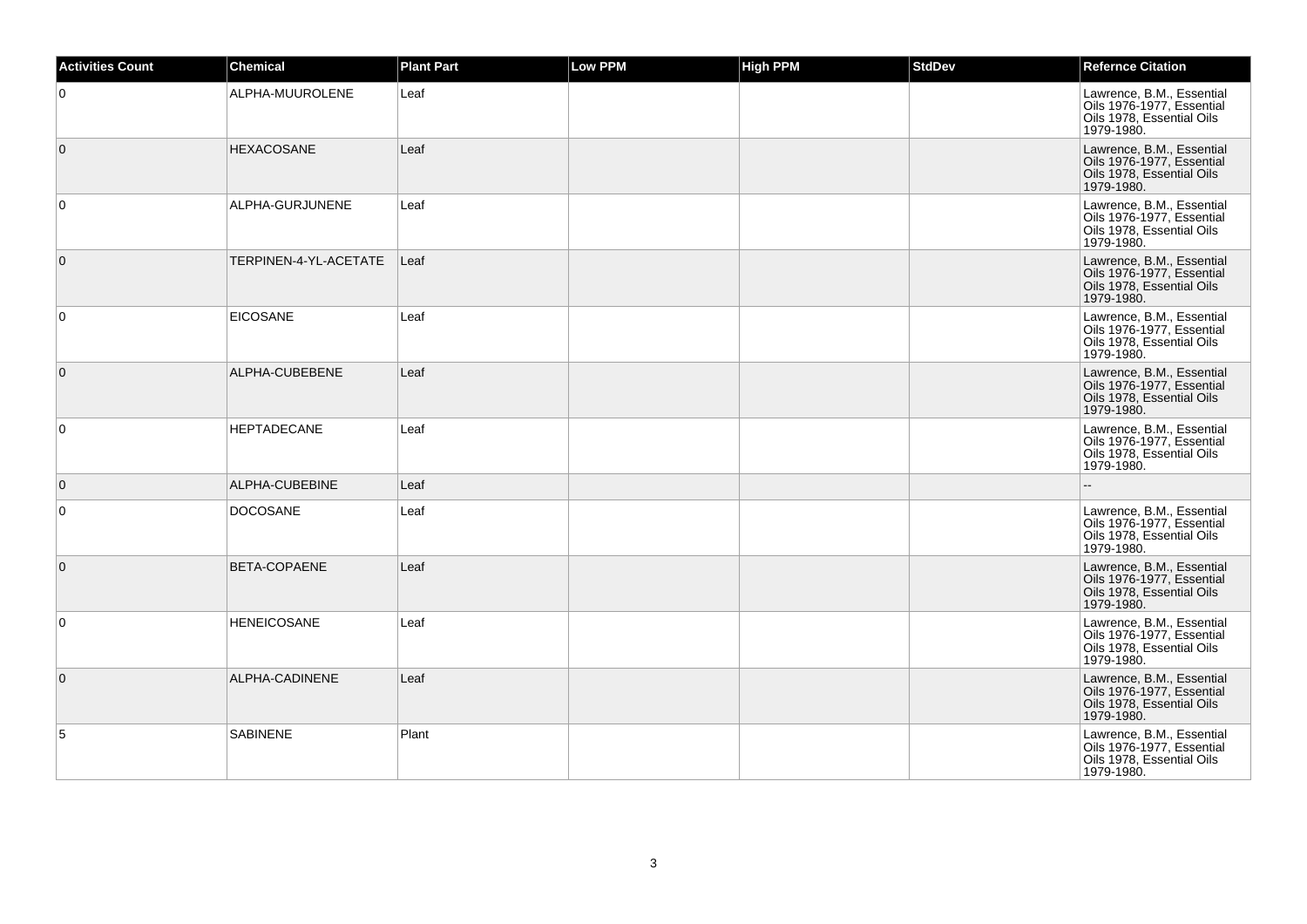| <b>Activities Count</b> | <b>Chemical</b>       | <b>Plant Part</b> | <b>Low PPM</b> | <b>High PPM</b> | <b>StdDev</b> | <b>Refernce Citation</b>                                                                          |
|-------------------------|-----------------------|-------------------|----------------|-----------------|---------------|---------------------------------------------------------------------------------------------------|
| $\overline{0}$          | ALPHA-MUUROLENE       | Leaf              |                |                 |               | Lawrence, B.M., Essential<br>Oils 1976-1977, Essential<br>Oils 1978, Essential Oils<br>1979-1980. |
| $\overline{0}$          | <b>HEXACOSANE</b>     | Leaf              |                |                 |               | Lawrence, B.M., Essential<br>Oils 1976-1977, Essential<br>Oils 1978, Essential Oils<br>1979-1980. |
| $\overline{0}$          | ALPHA-GURJUNENE       | Leaf              |                |                 |               | Lawrence, B.M., Essential<br>Oils 1976-1977, Essential<br>Oils 1978, Essential Oils<br>1979-1980. |
| $\overline{0}$          | TERPINEN-4-YL-ACETATE | Leaf              |                |                 |               | Lawrence, B.M., Essential<br>Oils 1976-1977, Essential<br>Oils 1978, Essential Oils<br>1979-1980. |
| $\overline{0}$          | <b>EICOSANE</b>       | Leaf              |                |                 |               | Lawrence, B.M., Essential<br>Oils 1976-1977, Essential<br>Oils 1978, Essential Oils<br>1979-1980. |
| $\overline{0}$          | ALPHA-CUBEBENE        | Leaf              |                |                 |               | Lawrence, B.M., Essential<br>Oils 1976-1977, Essential<br>Oils 1978, Essential Oils<br>1979-1980. |
| $\overline{0}$          | <b>HEPTADECANE</b>    | Leaf              |                |                 |               | Lawrence, B.M., Essential<br>Oils 1976-1977, Essential<br>Oils 1978, Essential Oils<br>1979-1980. |
| $\overline{0}$          | ALPHA-CUBEBINE        | Leaf              |                |                 |               | $\overline{\phantom{a}}$                                                                          |
| $\overline{0}$          | <b>DOCOSANE</b>       | Leaf              |                |                 |               | Lawrence, B.M., Essential<br>Oils 1976-1977, Essential<br>Oils 1978, Essential Oils<br>1979-1980. |
| $\overline{0}$          | BETA-COPAENE          | Leaf              |                |                 |               | Lawrence, B.M., Essential<br>Oils 1976-1977, Essential<br>Oils 1978, Essential Oils<br>1979-1980. |
| $\overline{0}$          | <b>HENEICOSANE</b>    | Leaf              |                |                 |               | Lawrence, B.M., Essential<br>Oils 1976-1977, Essential<br>Oils 1978, Essential Oils<br>1979-1980. |
| $\overline{0}$          | ALPHA-CADINENE        | Leaf              |                |                 |               | Lawrence, B.M., Essential<br>Oils 1976-1977, Essential<br>Oils 1978, Essential Oils<br>1979-1980. |
| 5                       | <b>SABINENE</b>       | Plant             |                |                 |               | Lawrence, B.M., Essential<br>Oils 1976-1977, Essential<br>Oils 1978, Essential Oils<br>1979-1980. |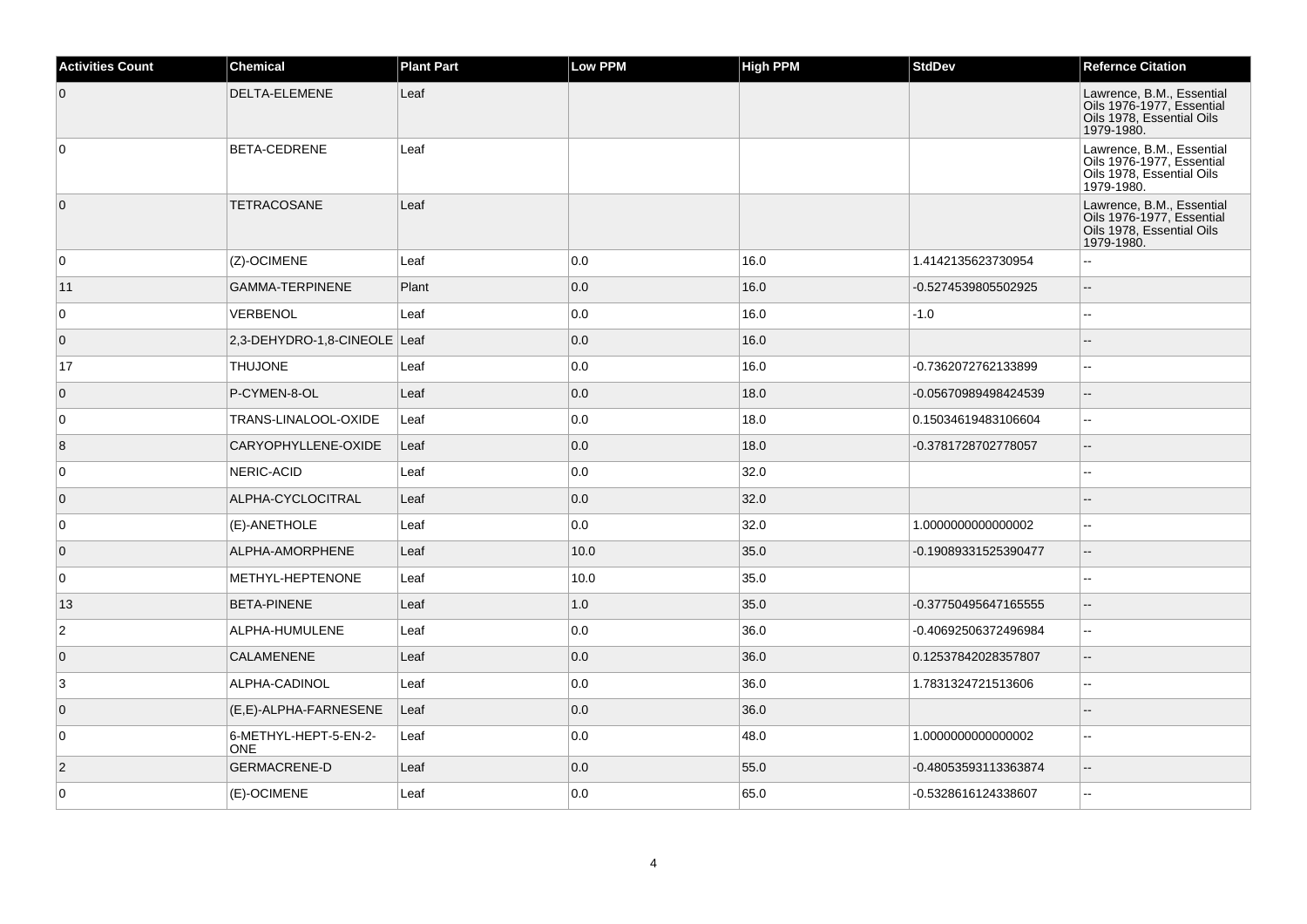| <b>Activities Count</b> | <b>Chemical</b>                     | <b>Plant Part</b> | <b>Low PPM</b> | <b>High PPM</b> | <b>StdDev</b>        | <b>Refernce Citation</b>                                                                          |
|-------------------------|-------------------------------------|-------------------|----------------|-----------------|----------------------|---------------------------------------------------------------------------------------------------|
| $\overline{0}$          | DELTA-ELEMENE                       | Leaf              |                |                 |                      | Lawrence, B.M., Essential<br>Oils 1976-1977, Essential<br>Oils 1978, Essential Oils<br>1979-1980. |
| 0                       | BETA-CEDRENE                        | Leaf              |                |                 |                      | Lawrence, B.M., Essential<br>Oils 1976-1977, Essential<br>Oils 1978, Essential Oils<br>1979-1980. |
| $\overline{0}$          | <b>TETRACOSANE</b>                  | Leaf              |                |                 |                      | Lawrence, B.M., Essential<br>Oils 1976-1977, Essential<br>Oils 1978, Essential Oils<br>1979-1980. |
| 0                       | (Z)-OCIMENE                         | Leaf              | 0.0            | 16.0            | 1.4142135623730954   | $\sim$                                                                                            |
| 11                      | <b>GAMMA-TERPINENE</b>              | Plant             | 0.0            | 16.0            | -0.5274539805502925  | $\sim$                                                                                            |
| 0                       | <b>VERBENOL</b>                     | Leaf              | 0.0            | 16.0            | $-1.0$               | $\sim$ $\sim$                                                                                     |
| $\overline{0}$          | 2,3-DEHYDRO-1,8-CINEOLE Leaf        |                   | 0.0            | 16.0            |                      | $\sim$                                                                                            |
| 17                      | <b>THUJONE</b>                      | Leaf              | 0.0            | 16.0            | -0.7362072762133899  |                                                                                                   |
| $\overline{0}$          | P-CYMEN-8-OL                        | Leaf              | 0.0            | 18.0            | -0.05670989498424539 | <b>--</b>                                                                                         |
| 0                       | TRANS-LINALOOL-OXIDE                | Leaf              | 0.0            | 18.0            | 0.15034619483106604  |                                                                                                   |
| 8                       | CARYOPHYLLENE-OXIDE                 | Leaf              | 0.0            | 18.0            | -0.3781728702778057  | $\overline{\phantom{a}}$                                                                          |
| $\mathbf 0$             | NERIC-ACID                          | Leaf              | 0.0            | 32.0            |                      |                                                                                                   |
| $\overline{0}$          | ALPHA-CYCLOCITRAL                   | Leaf              | 0.0            | 32.0            |                      |                                                                                                   |
| 0                       | (E)-ANETHOLE                        | Leaf              | 0.0            | 32.0            | 1.000000000000002    | $\sim$                                                                                            |
| $\overline{0}$          | ALPHA-AMORPHENE                     | Leaf              | 10.0           | 35.0            | -0.19089331525390477 | $\mathbf{u}$                                                                                      |
| 0                       | METHYL-HEPTENONE                    | Leaf              | 10.0           | 35.0            |                      | $\sim$                                                                                            |
| 13                      | <b>BETA-PINENE</b>                  | Leaf              | 1.0            | 35.0            | -0.37750495647165555 | Ξ.                                                                                                |
| $\overline{2}$          | ALPHA-HUMULENE                      | Leaf              | 0.0            | 36.0            | -0.40692506372496984 | $\overline{a}$                                                                                    |
| $\overline{0}$          | <b>CALAMENENE</b>                   | Leaf              | 0.0            | 36.0            | 0.12537842028357807  | ш.                                                                                                |
| 3                       | ALPHA-CADINOL                       | Leaf              | 0.0            | 36.0            | 1.7831324721513606   | $\sim$                                                                                            |
| $\overline{0}$          | (E,E)-ALPHA-FARNESENE               | Leaf              | 0.0            | 36.0            |                      |                                                                                                   |
| 0                       | 6-METHYL-HEPT-5-EN-2-<br><b>ONE</b> | Leaf              | 0.0            | 48.0            | 1.000000000000002    | L.                                                                                                |
| $\overline{2}$          | <b>GERMACRENE-D</b>                 | Leaf              | 0.0            | 55.0            | -0.48053593113363874 | $\mathbf{u}$                                                                                      |
| $\mathbf 0$             | (E)-OCIMENE                         | Leaf              | 0.0            | 65.0            | -0.5328616124338607  |                                                                                                   |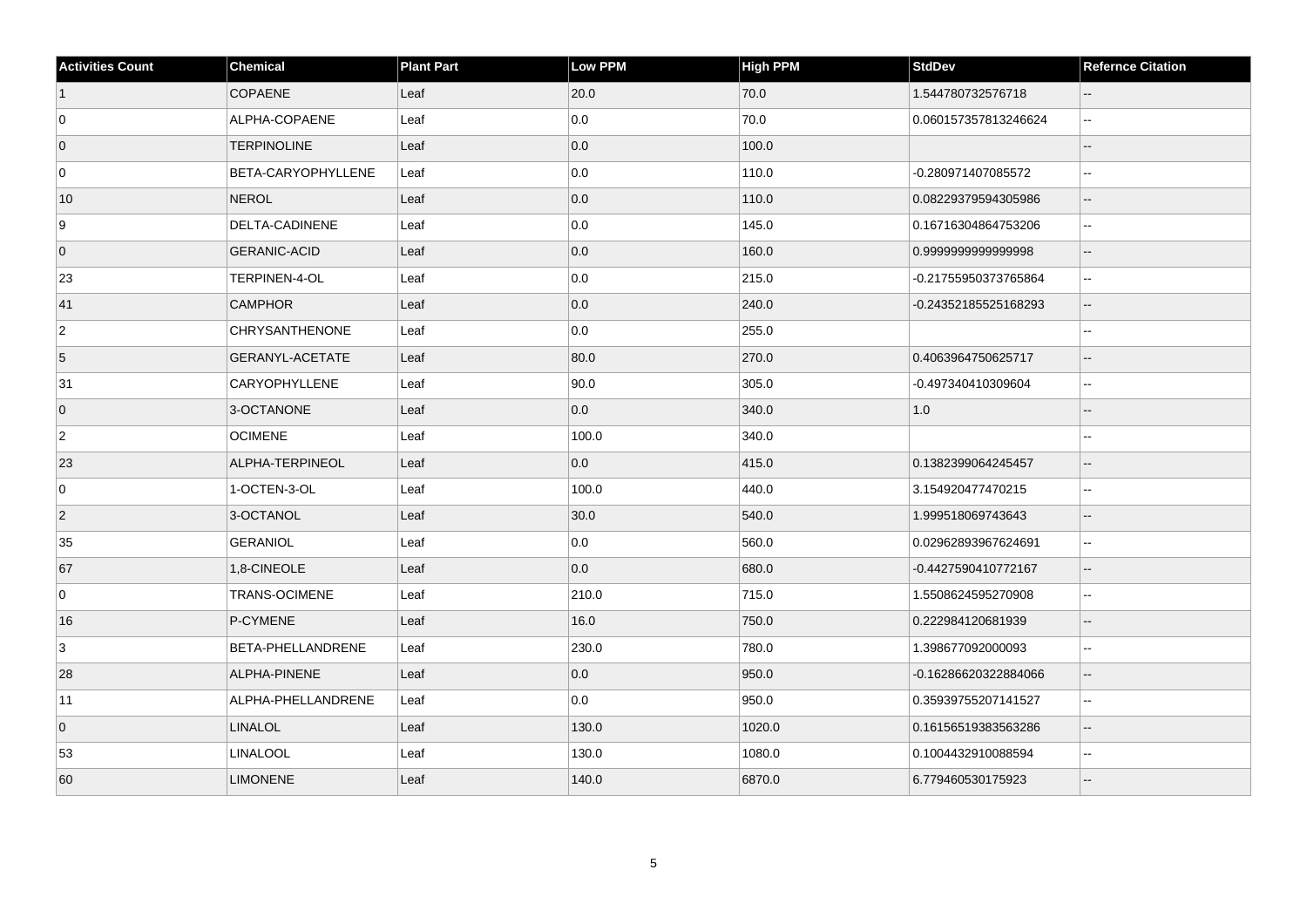| <b>Activities Count</b> | <b>Chemical</b>       | <b>Plant Part</b> | <b>Low PPM</b> | <b>High PPM</b> | <b>StdDev</b>        | <b>Refernce Citation</b> |
|-------------------------|-----------------------|-------------------|----------------|-----------------|----------------------|--------------------------|
| $\vert$ 1               | <b>COPAENE</b>        | Leaf              | 20.0           | 70.0            | 1.544780732576718    | $\sim$                   |
| 0                       | ALPHA-COPAENE         | Leaf              | 0.0            | 70.0            | 0.060157357813246624 | $\mathbf{L}$             |
| $\overline{0}$          | <b>TERPINOLINE</b>    | Leaf              | 0.0            | 100.0           |                      |                          |
| 0                       | BETA-CARYOPHYLLENE    | Leaf              | 0.0            | 110.0           | -0.280971407085572   | $\sim$                   |
| 10                      | <b>NEROL</b>          | Leaf              | 0.0            | 110.0           | 0.08229379594305986  | $\overline{\phantom{a}}$ |
| 9                       | DELTA-CADINENE        | Leaf              | 0.0            | 145.0           | 0.16716304864753206  | $\sim$                   |
| $\overline{0}$          | <b>GERANIC-ACID</b>   | Leaf              | 0.0            | 160.0           | 0.999999999999998    | $\sim$                   |
| 23                      | TERPINEN-4-OL         | Leaf              | 0.0            | 215.0           | -0.21755950373765864 | $\overline{\phantom{a}}$ |
| 41                      | <b>CAMPHOR</b>        | Leaf              | 0.0            | 240.0           | -0.24352185525168293 | $\sim$                   |
| $\overline{2}$          | <b>CHRYSANTHENONE</b> | Leaf              | 0.0            | 255.0           |                      |                          |
| 5                       | GERANYL-ACETATE       | Leaf              | 80.0           | 270.0           | 0.4063964750625717   | $\overline{\phantom{a}}$ |
| 31                      | <b>CARYOPHYLLENE</b>  | Leaf              | 90.0           | 305.0           | -0.497340410309604   | $\sim$                   |
| $\overline{0}$          | 3-OCTANONE            | Leaf              | 0.0            | 340.0           | 1.0                  |                          |
| $\overline{2}$          | <b>OCIMENE</b>        | Leaf              | 100.0          | 340.0           |                      | $\sim$                   |
| 23                      | ALPHA-TERPINEOL       | Leaf              | 0.0            | 415.0           | 0.1382399064245457   | $\overline{\phantom{a}}$ |
| 0                       | 1-OCTEN-3-OL          | Leaf              | 100.0          | 440.0           | 3.154920477470215    | $\sim$                   |
| $\vert$ 2               | 3-OCTANOL             | Leaf              | 30.0           | 540.0           | 1.999518069743643    | $\qquad \qquad -$        |
| 35                      | <b>GERANIOL</b>       | Leaf              | 0.0            | 560.0           | 0.02962893967624691  | $\mathbf{H}$             |
| 67                      | 1,8-CINEOLE           | Leaf              | 0.0            | 680.0           | -0.4427590410772167  | $\sim$                   |
| $\mathbf 0$             | <b>TRANS-OCIMENE</b>  | Leaf              | 210.0          | 715.0           | 1.5508624595270908   | $\overline{\phantom{a}}$ |
| 16                      | P-CYMENE              | Leaf              | 16.0           | 750.0           | 0.222984120681939    | $\overline{\phantom{a}}$ |
| 3                       | BETA-PHELLANDRENE     | Leaf              | 230.0          | 780.0           | 1.398677092000093    |                          |
| 28                      | ALPHA-PINENE          | Leaf              | 0.0            | 950.0           | -0.16286620322884066 |                          |
| 11                      | ALPHA-PHELLANDRENE    | Leaf              | 0.0            | 950.0           | 0.35939755207141527  | $\mathbf{L}$             |
| $\overline{0}$          | <b>LINALOL</b>        | Leaf              | 130.0          | 1020.0          | 0.16156519383563286  | $\overline{\phantom{a}}$ |
| 53                      | LINALOOL              | Leaf              | 130.0          | 1080.0          | 0.1004432910088594   |                          |
| 60                      | <b>LIMONENE</b>       | Leaf              | 140.0          | 6870.0          | 6.779460530175923    |                          |